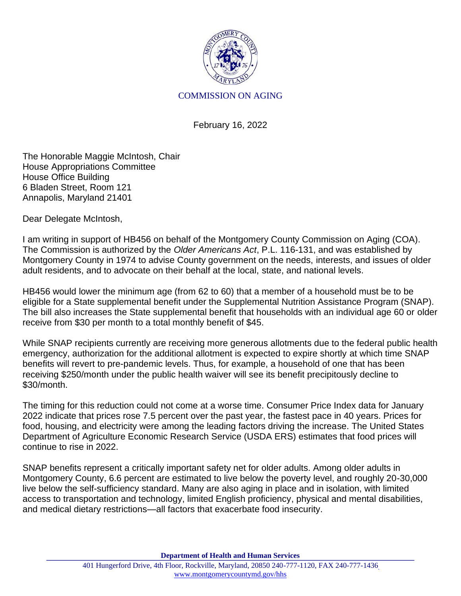

## COMMISSION ON AGING

February 16, 2022

The Honorable Maggie McIntosh, Chair House Appropriations Committee House Office Building 6 Bladen Street, Room 121 Annapolis, Maryland 21401

Dear Delegate McIntosh,

I am writing in support of HB456 on behalf of the Montgomery County Commission on Aging (COA). The Commission is authorized by the *Older Americans Act*, P.L. 116-131, and was established by Montgomery County in 1974 to advise County government on the needs, interests, and issues of older adult residents, and to advocate on their behalf at the local, state, and national levels.

HB456 would lower the minimum age (from 62 to 60) that a member of a household must be to be eligible for a State supplemental benefit under the Supplemental Nutrition Assistance Program (SNAP). The bill also increases the State supplemental benefit that households with an individual age 60 or older receive from \$30 per month to a total monthly benefit of \$45.

While SNAP recipients currently are receiving more generous allotments due to the federal public health emergency, authorization for the additional allotment is expected to expire shortly at which time SNAP benefits will revert to pre-pandemic levels. Thus, for example, a household of one that has been receiving \$250/month under the public health waiver will see its benefit precipitously decline to \$30/month.

The timing for this reduction could not come at a worse time. Consumer Price Index data for January 2022 indicate that prices rose 7.5 percent over the past year, the fastest pace in 40 years. Prices for food, housing, and electricity were among the leading factors driving the increase. The United States Department of Agriculture Economic Research Service (USDA ERS) estimates that food prices will continue to rise in 2022.

SNAP benefits represent a critically important safety net for older adults. Among older adults in Montgomery County, 6.6 percent are estimated to live below the poverty level, and roughly 20-30,000 live below the self-sufficiency standard. Many are also aging in place and in isolation, with limited access to transportation and technology, limited English proficiency, physical and mental disabilities, and medical dietary restrictions—all factors that exacerbate food insecurity.

**Department of Health and Human Services**